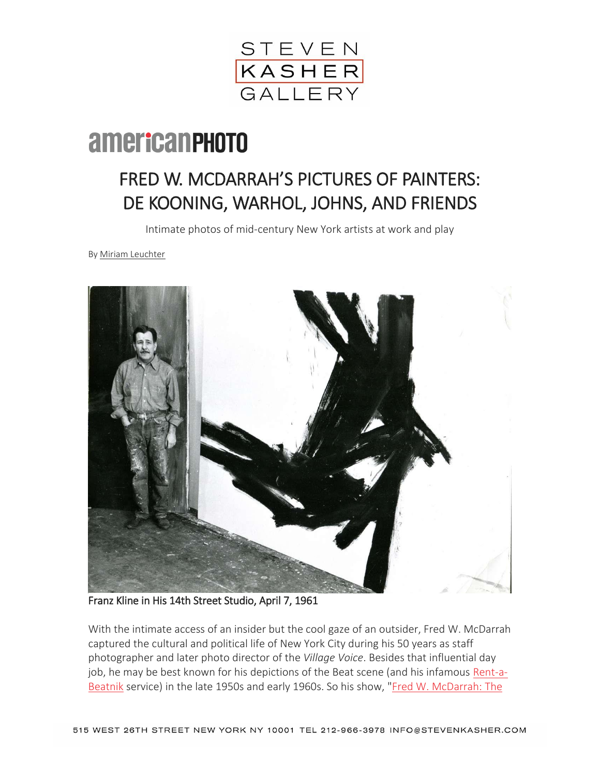

## **americanPHOTO**

## FRED W. MCDARRAH'S PICTURES OF PAINTERS: DE KOONING, WARHOL, JOHNS, AND FRIENDS

Intimate photos of mid-century New York artists at work and play

By [Miriam Leuchter](http://www.americanphotomag.com/authors/miriam-leuchter)



Franz Kline in His 14th Street Studio, April 7, 1961

With the intimate access of an insider but the cool gaze of an outsider, Fred W. McDarrah captured the cultural and political life of New York City during his 50 years as staff photographer and later photo director of the *Village Voice*. Besides that influential day job, he may be best known for his depictions of the Beat scene (and his infamous [Rent-a-](http://www.gettyimages.com/detail/news-photo/guests-at-a-rent-a-beatnik-party-brooklyn-new-york-new-york-news-photo/83951543)[Beatnik](http://www.gettyimages.com/detail/news-photo/guests-at-a-rent-a-beatnik-party-brooklyn-new-york-new-york-news-photo/83951543) service) in the late 1950s and early 1960s. So his show, ["Fred W. McDarrah: The](http://www.stevenkasher.com/exhibitions/fred-w-mcdarrah-the-artists-world)